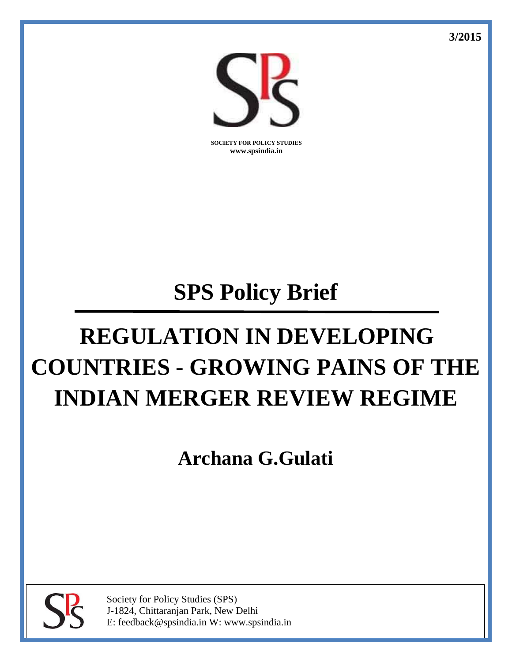**3/2015**



**SOCIETY FOR POLICY STUDIES www.spsindia.in**

# **SPS Policy Brief**

# **REGULATION IN DEVELOPING COUNTRIES - GROWING PAINS OF THE INDIAN MERGER REVIEW REGIME**

**Archana G.Gulati**



Society for Policy Studies (SPS) J-1824, Chittaranjan Park, New Delhi E: feedback@spsindia.in W: www.spsindia.in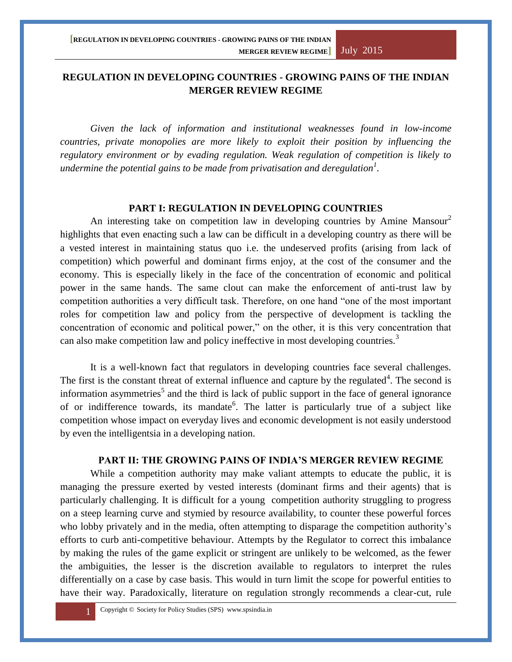# **REGULATION IN DEVELOPING COUNTRIES - GROWING PAINS OF THE INDIAN MERGER REVIEW REGIME**

*Given the lack of information and institutional weaknesses found in low-income countries, private monopolies are more likely to exploit their position by influencing the regulatory environment or by evading regulation. Weak regulation of competition is likely to undermine the potential gains to be made from privatisation and deregulation<sup>1</sup> .*

# **PART I: REGULATION IN DEVELOPING COUNTRIES**

An interesting take on competition law in developing countries by Amine Mansour<sup>2</sup> highlights that even enacting such a law can be difficult in a developing country as there will be a vested interest in maintaining status quo i.e. the undeserved profits (arising from lack of competition) which powerful and dominant firms enjoy, at the cost of the consumer and the economy. This is especially likely in the face of the concentration of economic and political power in the same hands. The same clout can make the enforcement of anti-trust law by competition authorities a very difficult task. Therefore, on one hand "one of the most important roles for competition law and policy from the perspective of development is tackling the concentration of economic and political power," on the other, it is this very concentration that can also make competition law and policy ineffective in most developing countries.<sup>3</sup>

It is a well-known fact that regulators in developing countries face several challenges. The first is the constant threat of external influence and capture by the regulated $4$ . The second is information asymmetries<sup>5</sup> and the third is lack of public support in the face of general ignorance of or indifference towards, its mandate<sup>6</sup>. The latter is particularly true of a subject like competition whose impact on everyday lives and economic development is not easily understood by even the intelligentsia in a developing nation.

# **PART II: THE GROWING PAINS OF INDIA'S MERGER REVIEW REGIME**

While a competition authority may make valiant attempts to educate the public, it is managing the pressure exerted by vested interests (dominant firms and their agents) that is particularly challenging. It is difficult for a young competition authority struggling to progress on a steep learning curve and stymied by resource availability, to counter these powerful forces who lobby privately and in the media, often attempting to disparage the competition authority's efforts to curb anti-competitive behaviour. Attempts by the Regulator to correct this imbalance by making the rules of the game explicit or stringent are unlikely to be welcomed, as the fewer the ambiguities, the lesser is the discretion available to regulators to interpret the rules differentially on a case by case basis. This would in turn limit the scope for powerful entities to have their way. Paradoxically, literature on regulation strongly recommends a clear-cut, rule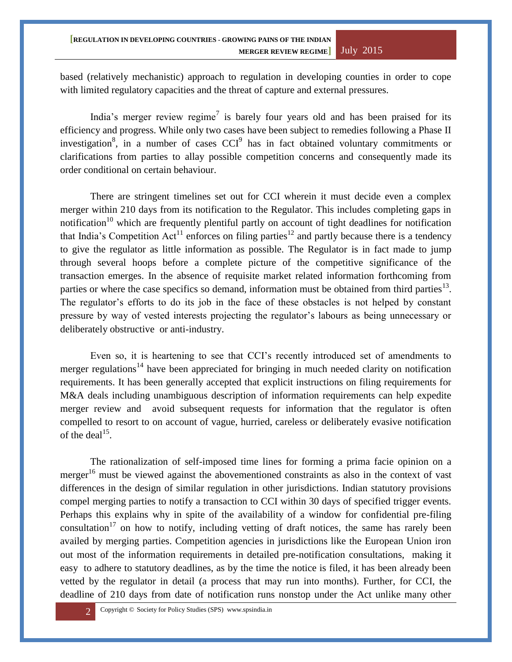based (relatively mechanistic) approach to regulation in developing counties in order to cope with limited regulatory capacities and the threat of capture and external pressures.

India's merger review regime<sup>7</sup> is barely four years old and has been praised for its efficiency and progress. While only two cases have been subject to remedies following a Phase II investigation<sup>8</sup>, in a number of cases  $CCI<sup>9</sup>$  has in fact obtained voluntary commitments or clarifications from parties to allay possible competition concerns and consequently made its order conditional on certain behaviour.

There are stringent timelines set out for CCI wherein it must decide even a complex merger within 210 days from its notification to the Regulator. This includes completing gaps in notification<sup>10</sup> which are frequently plentiful partly on account of tight deadlines for notification that India's Competition Act<sup>11</sup> enforces on filing parties<sup>12</sup> and partly because there is a tendency to give the regulator as little information as possible. The Regulator is in fact made to jump through several hoops before a complete picture of the competitive significance of the transaction emerges. In the absence of requisite market related information forthcoming from parties or where the case specifics so demand, information must be obtained from third parties<sup>13</sup>. The regulator's efforts to do its job in the face of these obstacles is not helped by constant pressure by way of vested interests projecting the regulator's labours as being unnecessary or deliberately obstructive or anti-industry.

Even so, it is heartening to see that CCI's recently introduced set of amendments to merger regulations<sup>14</sup> have been appreciated for bringing in much needed clarity on notification requirements. It has been generally accepted that explicit instructions on filing requirements for M&A deals including unambiguous description of information requirements can help expedite merger review and avoid subsequent requests for information that the regulator is often compelled to resort to on account of vague, hurried, careless or deliberately evasive notification of the deal<sup>15</sup>.

The rationalization of self-imposed time lines for forming a prima facie opinion on a merger<sup>16</sup> must be viewed against the abovementioned constraints as also in the context of vast differences in the design of similar regulation in other jurisdictions. Indian statutory provisions compel merging parties to notify a transaction to CCI within 30 days of specified trigger events. Perhaps this explains why in spite of the availability of a window for confidential pre-filing consultation<sup>17</sup> on how to notify, including vetting of draft notices, the same has rarely been availed by merging parties. Competition agencies in jurisdictions like the European Union iron out most of the information requirements in detailed pre-notification consultations, making it easy to adhere to statutory deadlines, as by the time the notice is filed, it has been already been vetted by the regulator in detail (a process that may run into months). Further, for CCI, the deadline of 210 days from date of notification runs nonstop under the Act unlike many other

2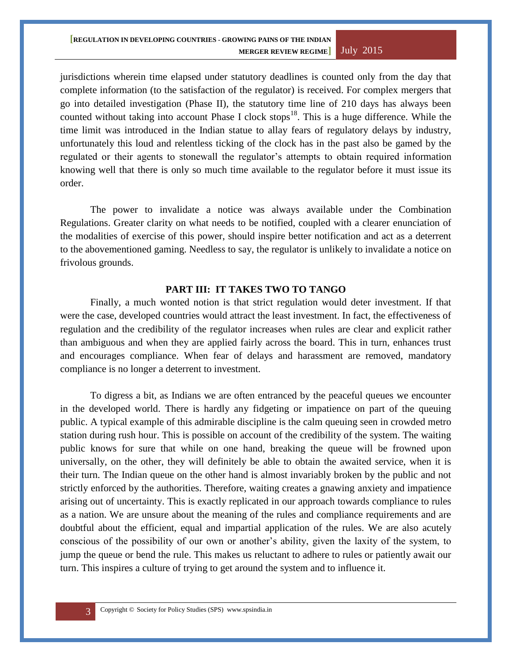#### **[REGULATION IN DEVELOPING COUNTRIES - GROWING PAINS OF THE INDIAN MERGER REVIEW REGIME]** July 2015

jurisdictions wherein time elapsed under statutory deadlines is counted only from the day that complete information (to the satisfaction of the regulator) is received. For complex mergers that go into detailed investigation (Phase II), the statutory time line of 210 days has always been counted without taking into account Phase I clock stops<sup>18</sup>. This is a huge difference. While the time limit was introduced in the Indian statue to allay fears of regulatory delays by industry, unfortunately this loud and relentless ticking of the clock has in the past also be gamed by the regulated or their agents to stonewall the regulator's attempts to obtain required information knowing well that there is only so much time available to the regulator before it must issue its order.

The power to invalidate a notice was always available under the Combination Regulations. Greater clarity on what needs to be notified, coupled with a clearer enunciation of the modalities of exercise of this power, should inspire better notification and act as a deterrent to the abovementioned gaming. Needless to say, the regulator is unlikely to invalidate a notice on frivolous grounds.

# **PART III: IT TAKES TWO TO TANGO**

Finally, a much wonted notion is that strict regulation would deter investment. If that were the case, developed countries would attract the least investment. In fact, the effectiveness of regulation and the credibility of the regulator increases when rules are clear and explicit rather than ambiguous and when they are applied fairly across the board. This in turn, enhances trust and encourages compliance. When fear of delays and harassment are removed, mandatory compliance is no longer a deterrent to investment.

To digress a bit, as Indians we are often entranced by the peaceful queues we encounter in the developed world. There is hardly any fidgeting or impatience on part of the queuing public. A typical example of this admirable discipline is the calm queuing seen in crowded metro station during rush hour. This is possible on account of the credibility of the system. The waiting public knows for sure that while on one hand, breaking the queue will be frowned upon universally, on the other, they will definitely be able to obtain the awaited service, when it is their turn. The Indian queue on the other hand is almost invariably broken by the public and not strictly enforced by the authorities. Therefore, waiting creates a gnawing anxiety and impatience arising out of uncertainty. This is exactly replicated in our approach towards compliance to rules as a nation. We are unsure about the meaning of the rules and compliance requirements and are doubtful about the efficient, equal and impartial application of the rules. We are also acutely conscious of the possibility of our own or another's ability, given the laxity of the system, to jump the queue or bend the rule. This makes us reluctant to adhere to rules or patiently await our turn. This inspires a culture of trying to get around the system and to influence it.

3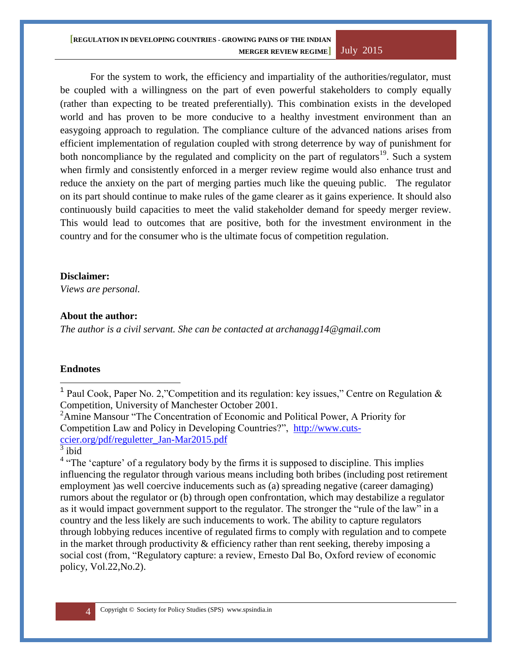#### **[REGULATION IN DEVELOPING COUNTRIES - GROWING PAINS OF THE INDIAN MERGER REVIEW REGIME]** July 2015

For the system to work, the efficiency and impartiality of the authorities/regulator, must be coupled with a willingness on the part of even powerful stakeholders to comply equally (rather than expecting to be treated preferentially). This combination exists in the developed world and has proven to be more conducive to a healthy investment environment than an easygoing approach to regulation. The compliance culture of the advanced nations arises from efficient implementation of regulation coupled with strong deterrence by way of punishment for both noncompliance by the regulated and complicity on the part of regulators<sup>19</sup>. Such a system when firmly and consistently enforced in a merger review regime would also enhance trust and reduce the anxiety on the part of merging parties much like the queuing public. The regulator on its part should continue to make rules of the game clearer as it gains experience. It should also continuously build capacities to meet the valid stakeholder demand for speedy merger review. This would lead to outcomes that are positive, both for the investment environment in the country and for the consumer who is the ultimate focus of competition regulation.

### **Disclaimer:**

*Views are personal.*

### **About the author:**

*The author is a civil servant. She can be contacted at archanagg14@gmail.com*

#### **Endnotes**

 $\overline{a}$ 

<sup>1</sup> Paul Cook, Paper No. 2,"Competition and its regulation: key issues," Centre on Regulation & Competition, University of Manchester October 2001.

<sup>2</sup>Amine Mansour "The Concentration of Economic and Political Power, A Priority for Competition Law and Policy in Developing Countries?", [http://www.cuts](http://www.cuts-ccier.org/pdf/reguletter_Jan-Mar2015.pdf)[ccier.org/pdf/reguletter\\_Jan-Mar2015.pdf](http://www.cuts-ccier.org/pdf/reguletter_Jan-Mar2015.pdf) 

 $3$  ibid

4

<sup>4</sup> "The 'capture' of a regulatory body by the firms it is supposed to discipline. This implies influencing the regulator through various means including both bribes (including post retirement employment )as well coercive inducements such as (a) spreading negative (career damaging) rumors about the regulator or (b) through open confrontation, which may destabilize a regulator as it would impact government support to the regulator. The stronger the "rule of the law" in a country and the less likely are such inducements to work. The ability to capture regulators through lobbying reduces incentive of regulated firms to comply with regulation and to compete in the market through productivity  $\&$  efficiency rather than rent seeking, thereby imposing a social cost (from, "Regulatory capture: a review, Ernesto Dal Bo, Oxford review of economic policy, Vol.22,No.2).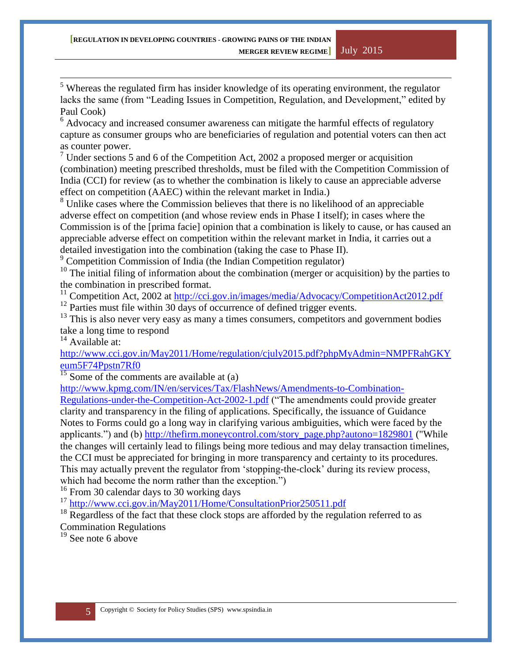$\overline{a}$  $<sup>5</sup>$  Whereas the regulated firm has insider knowledge of its operating environment, the regulator</sup> lacks the same (from "Leading Issues in Competition, Regulation, and Development," edited by Paul Cook)

 $6$  Advocacy and increased consumer awareness can mitigate the harmful effects of regulatory capture as consumer groups who are beneficiaries of regulation and potential voters can then act as counter power.

 $7$  Under sections 5 and 6 of the Competition Act, 2002 a proposed merger or acquisition (combination) meeting prescribed thresholds, must be filed with the Competition Commission of India (CCI) for review (as to whether the combination is likely to cause an appreciable adverse effect on competition (AAEC) within the relevant market in India.)

<sup>8</sup> Unlike cases where the Commission believes that there is no likelihood of an appreciable adverse effect on competition (and whose review ends in Phase I itself); in cases where the Commission is of the [prima facie] opinion that a combination is likely to cause, or has caused an appreciable adverse effect on competition within the relevant market in India, it carries out a detailed investigation into the combination (taking the case to Phase II).

<sup>9</sup> Competition Commission of India (the Indian Competition regulator)

 $10$  The initial filing of information about the combination (merger or acquisition) by the parties to the combination in prescribed format.

<sup>11</sup> Competition Act, 2002 at<http://cci.gov.in/images/media/Advocacy/CompetitionAct2012.pdf>

 $12$  Parties must file within 30 days of occurrence of defined trigger events.

 $13$  This is also never very easy as many a times consumers, competitors and government bodies take a long time to respond

 $14$  Available at:

[http://www.cci.gov.in/May2011/Home/regulation/cjuly2015.pdf?phpMyAdmin=NMPFRahGKY](http://www.cci.gov.in/May2011/Home/regulation/cjuly2015.pdf?phpMyAdmin=NMPFRahGKYeum5F74Ppstn7Rf0) [eum5F74Ppstn7Rf0](http://www.cci.gov.in/May2011/Home/regulation/cjuly2015.pdf?phpMyAdmin=NMPFRahGKYeum5F74Ppstn7Rf0)

 $15$  Some of the comments are available at (a)

[http://www.kpmg.com/IN/en/services/Tax/FlashNews/Amendments-to-Combination-](http://www.kpmg.com/IN/en/services/Tax/FlashNews/Amendments-to-Combination-Regulations-under-the-Competition-Act-2002-1.pdf)

[Regulations-under-the-Competition-Act-2002-1.pdf](http://www.kpmg.com/IN/en/services/Tax/FlashNews/Amendments-to-Combination-Regulations-under-the-Competition-Act-2002-1.pdf) ("The amendments could provide greater clarity and transparency in the filing of applications. Specifically, the issuance of Guidance Notes to Forms could go a long way in clarifying various ambiguities, which were faced by the applicants.") and (b) [http://thefirm.moneycontrol.com/story\\_page.php?autono=1829801](http://thefirm.moneycontrol.com/story_page.php?autono=1829801) ("While the changes will certainly lead to filings being more tedious and may delay transaction timelines, the CCI must be appreciated for bringing in more transparency and certainty to its procedures. This may actually prevent the regulator from 'stopping-the-clock' during its review process, which had become the norm rather than the exception.")

<sup>16</sup> From 30 calendar days to 30 working days

<sup>17</sup> http://www.cci.gov.in/May2011/Home/ConsultationPrior250511.pdf

<sup>18</sup> Regardless of the fact that these clock stops are afforded by the regulation referred to as Commination Regulations

 $19$  See note 6 above

5